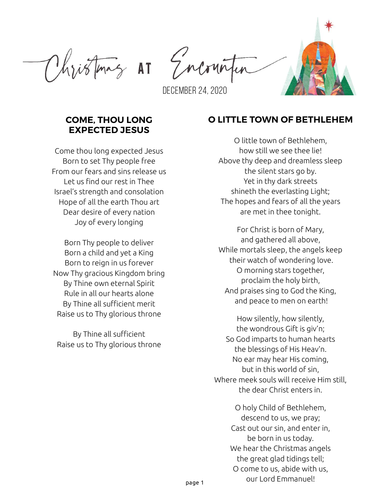hristmas AT Encount

DECEMBER 24, 2020

### COME, THOU LONG EXPECTED JESUS

Come thou long expected Jesus Born to set Thy people free From our fears and sins release us Let us find our rest in Thee Israel's strength and consolation Hope of all the earth Thou art Dear desire of every nation Joy of every longing

Born Thy people to deliver Born a child and yet a King Born to reign in us forever Now Thy gracious Kingdom bring By Thine own eternal Spirit Rule in all our hearts alone By Thine all sufficient merit Raise us to Thy glorious throne

By Thine all sufficient Raise us to Thy glorious throne

# O LITTLE TOWN OF BETHLEHEM

O little town of Bethlehem, how still we see thee lie! Above thy deep and dreamless sleep the silent stars go by. Yet in thy dark streets shineth the everlasting Light; The hopes and fears of all the years are met in thee tonight.

For Christ is born of Mary, and gathered all above, While mortals sleep, the angels keep their watch of wondering love. O morning stars together, proclaim the holy birth, And praises sing to God the King, and peace to men on earth!

How silently, how silently, the wondrous Gift is giv'n; So God imparts to human hearts the blessings of His Heav'n. No ear may hear His coming, but in this world of sin, Where meek souls will receive Him still the dear Christ enters in.

O holy Child of Bethlehem, descend to us, we pray; Cast out our sin, and enter in, be born in us today. We hear the Christmas angels the great glad tidings tell; O come to us, abide with us, our Lord Emmanuel!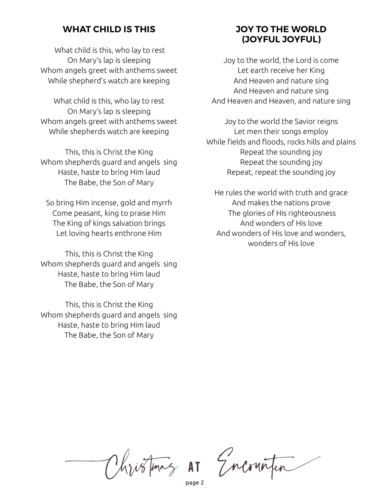#### WHAT CHILD IS THIS

 What child is this, who lay to rest On Mary's lap is sleeping Whom angels greet with anthems sweet While shepherd's watch are keeping

What child is this, who lay to rest On Mary's lap is sleeping Whom angels greet with anthems sweet While shepherds watch are keeping

This, this is Christ the King Whom shepherds guard and angels sing Haste, haste to bring Him laud The Babe, the Son of Mary

So bring Him incense, gold and myrrh Come peasant, king to praise Him The King of kings salvation brings Let loving hearts enthrone Him

This, this is Christ the King Whom shepherds guard and angels sing Haste, haste to bring Him laud The Babe, the Son of Mary

This, this is Christ the King Whom shepherds guard and angels sing Haste, haste to bring Him laud The Babe, the Son of Mary

#### JOY TO THE WORLD (JOYFUL JOYFUL)

Joy to the world, the Lord is come Let earth receive her King And Heaven and nature sing And Heaven and nature sing And Heaven and Heaven, and nature sing

Joy to the world the Savior reigns Let men their songs employ While fields and floods, rocks hills and plains Repeat the sounding joy Repeat the sounding joy Repeat, repeat the sounding joy

He rules the world with truth and grace And makes the nations prove The glories of His righteousness And wonders of His love And wonders of His love and wonders, wonders of His love

Christmas AT Encounten

page 2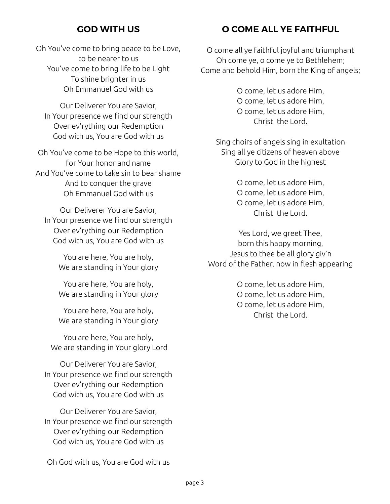## GOD WITH US

Oh You've come to bring peace to be Love, to be nearer to us You've come to bring life to be Light To shine brighter in us Oh Emmanuel God with us

Our Deliverer You are Savior, In Your presence we find our strength Over ev'rything our Redemption God with us, You are God with us

Oh You've come to be Hope to this world, for Your honor and name And You've come to take sin to bear shame And to conquer the grave Oh Emmanuel God with us

Our Deliverer You are Savior, In Your presence we find our strength Over ev'rything our Redemption God with us, You are God with us

> You are here, You are holy, We are standing in Your glory

> You are here, You are holy, We are standing in Your glory

> You are here, You are holy, We are standing in Your glory

You are here, You are holy, We are standing in Your glory Lord

Our Deliverer You are Savior, In Your presence we find our strength Over ev'rything our Redemption God with us, You are God with us

Our Deliverer You are Savior, In Your presence we find our strength Over ev'rything our Redemption God with us, You are God with us

Oh God with us, You are God with us

# O COME ALL YE FAITHFUL

O come all ye faithful joyful and triumphant Oh come ye, o come ye to Bethlehem; Come and behold Him, born the King of angels;

> O come, let us adore Him, O come, let us adore Him, O come, let us adore Him, Christ the Lord.

Sing choirs of angels sing in exultation Sing all ye citizens of heaven above Glory to God in the highest

> O come, let us adore Him, O come, let us adore Him, O come, let us adore Him, Christ the Lord.

Yes Lord, we greet Thee, born this happy morning, Jesus to thee be all glory giv'n Word of the Father, now in flesh appearing

> O come, let us adore Him, O come, let us adore Him, O come, let us adore Him, Christ the Lord.